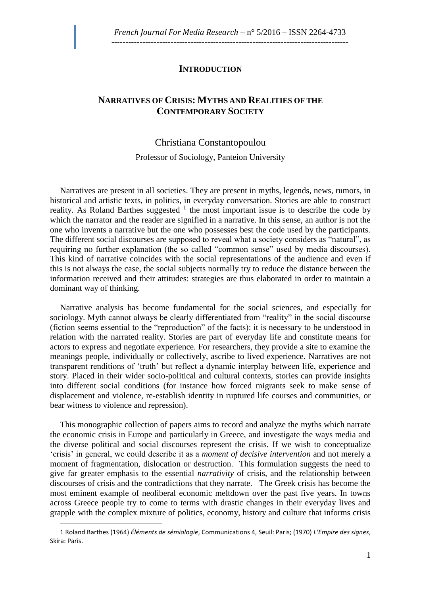## **INTRODUCTION**

## **NARRATIVES OF CRISIS: MYTHS AND REALITIES OF THE CONTEMPORARY SOCIETY**

## Christiana [Constantopoulou](http://frenchjournalformediaresearch.com/lodel/personne.php?type=auteur&id=234)

## Professor of Sociology, Panteion University

Narratives are present in all societies. They are present in myths, legends, news, rumors, in historical and artistic texts, in politics, in everyday conversation. Stories are able to construct reality. As Roland Barthes suggested  $1$  the most important issue is to describe the code by which the narrator and the reader are signified in a narrative. In this sense, an author is not the one who invents a narrative but the one who possesses best the code used by the participants. The different social discourses are supposed to reveal what a society considers as "natural", as requiring no further explanation (the so called "common sense" used by media discourses). This kind of narrative coincides with the social representations of the audience and even if this is not always the case, the social subjects normally try to reduce the distance between the information received and their attitudes: strategies are thus elaborated in order to maintain a dominant way of thinking.

Narrative analysis has become fundamental for the social sciences, and especially for sociology. Myth cannot always be clearly differentiated from "reality" in the social discourse (fiction seems essential to the "reproduction" of the facts): it is necessary to be understood in relation with the narrated reality. Stories are part of everyday life and constitute means for actors to express and negotiate experience. For researchers, they provide a site to examine the meanings people, individually or collectively, ascribe to lived experience. Narratives are not transparent renditions of 'truth' but reflect a dynamic interplay between life, experience and story. Placed in their wider socio-political and cultural contexts, stories can provide insights into different social conditions (for instance how forced migrants seek to make sense of displacement and violence, re-establish identity in ruptured life courses and communities, or bear witness to violence and repression).

This monographic collection of papers aims to record and analyze the myths which narrate the economic crisis in Europe and particularly in Greece, and investigate the ways media and the diverse political and social discourses represent the crisis. If we wish to conceptualize 'crisis' in general, we could describe it as a *moment of decisive intervention* and not merely a moment of fragmentation, dislocation or destruction. This formulation suggests the need to give far greater emphasis to the essential *narrativity* of crisis, and the relationship between discourses of crisis and the contradictions that they narrate. The Greek crisis has become the most eminent example of neoliberal economic meltdown over the past five years. In towns across Greece people try to come to terms with drastic changes in their everyday lives and grapple with the complex mixture of politics, economy, history and culture that informs crisis

 $\overline{a}$ 

<sup>1</sup> Roland Barthes (1964) *Éléments de sémiologie*, Communications 4, Seuil: Paris; (1970) *L'Empire des signes*, Skira: Paris.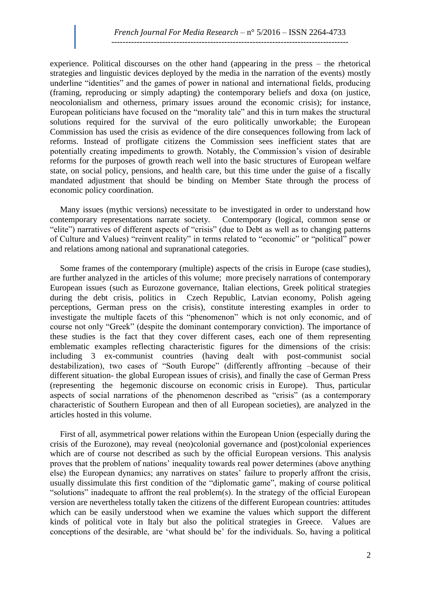experience. Political discourses on the other hand (appearing in the press – the rhetorical strategies and linguistic devices deployed by the media in the narration of the events) mostly underline "identities" and the games of power in national and international fields, producing (framing, reproducing or simply adapting) the contemporary beliefs and doxa (on justice, neocolonialism and otherness, primary issues around the economic crisis); for instance, European politicians have focused on the "morality tale" and this in turn makes the structural solutions required for the survival of the euro politically unworkable; the European Commission has used the crisis as evidence of the dire consequences following from lack of reforms. Instead of profligate citizens the Commission sees inefficient states that are potentially creating impediments to growth. Notably, the Commission's vision of desirable reforms for the purposes of growth reach well into the basic structures of European welfare state, on social policy, pensions, and health care, but this time under the guise of a fiscally mandated adjustment that should be binding on Member State through the process of economic policy coordination.

Many issues (mythic versions) necessitate to be investigated in order to understand how contemporary representations narrate society. Contemporary (logical, common sense or "elite") narratives of different aspects of "crisis" (due to Debt as well as to changing patterns of Culture and Values) "reinvent reality" in terms related to "economic" or "political" power and relations among national and supranational categories.

Some frames of the contemporary (multiple) aspects of the crisis in Europe (case studies), are further analyzed in the articles of this volume; more precisely narrations of contemporary European issues (such as Eurozone governance, Italian elections, Greek political strategies during the debt crisis, politics in Czech Republic, Latvian economy, Polish ageing perceptions, German press on the crisis), constitute interesting examples in order to investigate the multiple facets of this "phenomenon" which is not only economic, and of course not only "Greek" (despite the dominant contemporary conviction). The importance of these studies is the fact that they cover different cases, each one of them representing emblematic examples reflecting characteristic figures for the dimensions of the crisis: including 3 ex-communist countries (having dealt with post-communist social destabilization), two cases of "South Europe" (differently affronting –because of their different situation- the global European issues of crisis), and finally the case of German Press (representing the hegemonic discourse on economic crisis in Europe). Thus, particular aspects of social narrations of the phenomenon described as "crisis" (as a contemporary characteristic of Southern European and then of all European societies), are analyzed in the articles hosted in this volume.

First of all, asymmetrical power relations within the European Union (especially during the crisis of the Eurozone), may reveal (neo)colonial governance and (post)colonial experiences which are of course not described as such by the official European versions. This analysis proves that the problem of nations' inequality towards real power determines (above anything else) the European dynamics; any narratives on states' failure to properly affront the crisis, usually dissimulate this first condition of the "diplomatic game", making of course political "solutions" inadequate to affront the real problem(s). In the strategy of the official European version are nevertheless totally taken the citizens of the different European countries: attitudes which can be easily understood when we examine the values which support the different kinds of political vote in Italy but also the political strategies in Greece. Values are conceptions of the desirable, are 'what should be' for the individuals. So, having a political